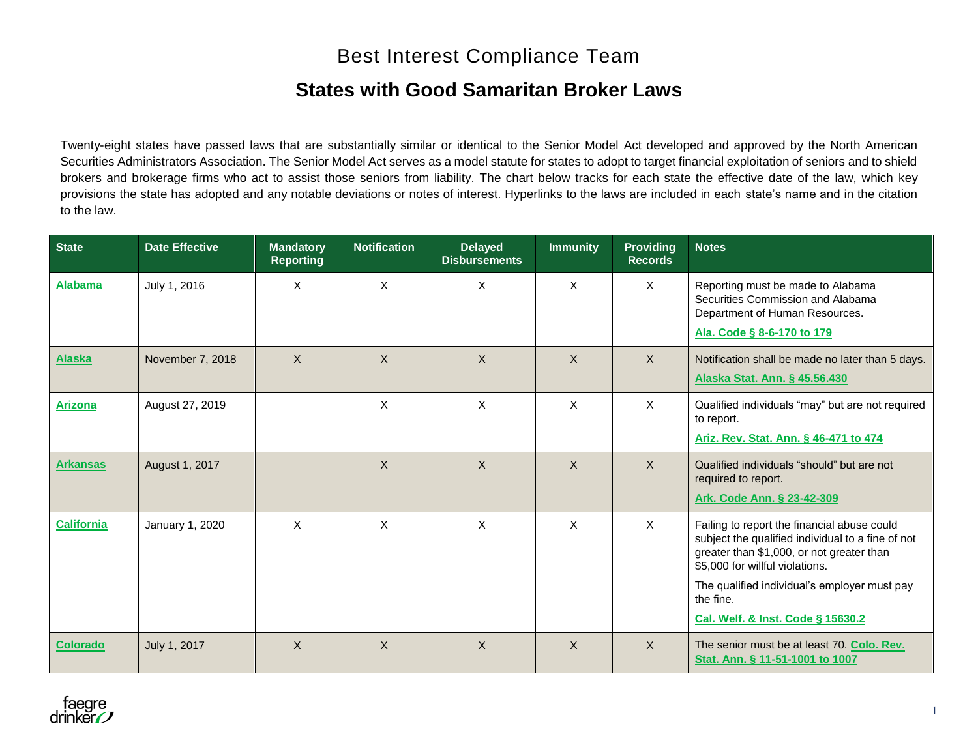# Best Interest Compliance Team

## **States with Good Samaritan Broker Laws**

Twenty-eight states have passed laws that are substantially similar or identical to the Senior Model Act developed and approved by the North American Securities Administrators Association. The Senior Model Act serves as a model statute for states to adopt to target financial exploitation of seniors and to shield brokers and brokerage firms who act to assist those seniors from liability. The chart below tracks for each state the effective date of the law, which key provisions the state has adopted and any notable deviations or notes of interest. Hyperlinks to the laws are included in each state's name and in the citation to the law.

| <b>State</b>      | <b>Date Effective</b> | <b>Mandatory</b><br><b>Reporting</b> | <b>Notification</b> | <b>Delayed</b><br><b>Disbursements</b> | <b>Immunity</b>           | <b>Providing</b><br><b>Records</b> | <b>Notes</b>                                                                                                                                                                                                                                  |  |
|-------------------|-----------------------|--------------------------------------|---------------------|----------------------------------------|---------------------------|------------------------------------|-----------------------------------------------------------------------------------------------------------------------------------------------------------------------------------------------------------------------------------------------|--|
| <b>Alabama</b>    | July 1, 2016          | X                                    | X                   | X                                      | X                         | X                                  | Reporting must be made to Alabama<br>Securities Commission and Alabama<br>Department of Human Resources.<br>Ala. Code § 8-6-170 to 179                                                                                                        |  |
| <b>Alaska</b>     | November 7, 2018      | X                                    | $\mathsf{X}$        | $\sf X$                                | $\mathsf{X}$              | $\mathsf{X}$                       | Notification shall be made no later than 5 days.<br>Alaska Stat. Ann. § 45.56.430                                                                                                                                                             |  |
| <b>Arizona</b>    | August 27, 2019       |                                      | $\sf X$             | $\mathsf{X}$                           | X                         | $\mathsf{x}$                       | Qualified individuals "may" but are not required<br>to report.<br>Ariz. Rev. Stat. Ann. § 46-471 to 474                                                                                                                                       |  |
| <b>Arkansas</b>   | August 1, 2017        |                                      | X                   | $\mathsf{X}$                           | $\boldsymbol{\mathsf{X}}$ | $\mathsf{X}$                       | Qualified individuals "should" but are not<br>required to report.<br>Ark. Code Ann. § 23-42-309                                                                                                                                               |  |
| <b>California</b> | January 1, 2020       | X                                    | X                   | X                                      | X                         | X                                  | Failing to report the financial abuse could<br>subject the qualified individual to a fine of not<br>greater than \$1,000, or not greater than<br>\$5,000 for willful violations.<br>The qualified individual's employer must pay<br>the fine. |  |
|                   |                       |                                      |                     |                                        |                           |                                    | Cal. Welf. & Inst. Code § 15630.2                                                                                                                                                                                                             |  |
| <b>Colorado</b>   | July 1, 2017          | $\mathsf{X}$                         | $\sf X$             | $\sf X$                                | $\mathsf{X}$              | $\mathsf{X}$                       | The senior must be at least 70. Colo. Rev.<br>Stat. Ann. § 11-51-1001 to 1007                                                                                                                                                                 |  |

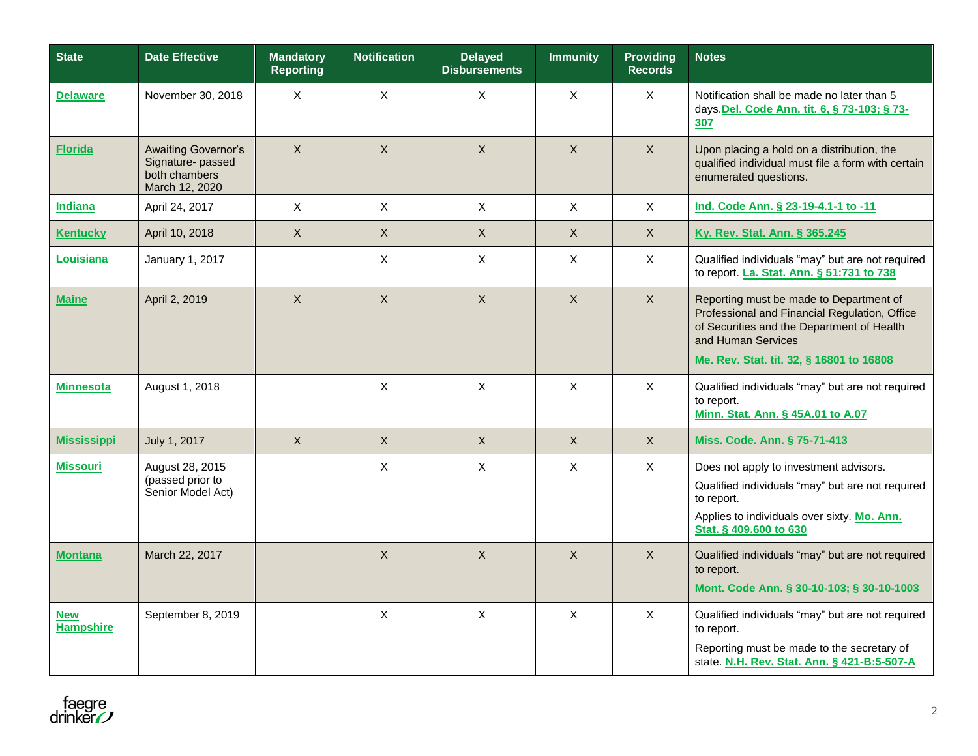| <b>State</b>                   | <b>Date Effective</b>                                                      | <b>Mandatory</b><br><b>Reporting</b> | <b>Notification</b> | <b>Delayed</b><br><b>Disbursements</b> | <b>Immunity</b> | <b>Providing</b><br><b>Records</b> | <b>Notes</b>                                                                                                                                                                                             |  |
|--------------------------------|----------------------------------------------------------------------------|--------------------------------------|---------------------|----------------------------------------|-----------------|------------------------------------|----------------------------------------------------------------------------------------------------------------------------------------------------------------------------------------------------------|--|
| <b>Delaware</b>                | November 30, 2018                                                          | X                                    | $\mathsf X$         | X                                      | $\mathsf X$     | $\mathsf X$                        | Notification shall be made no later than 5<br>days. Del. Code Ann. tit. 6, § 73-103; § 73-<br>307                                                                                                        |  |
| <b>Florida</b>                 | Awaiting Governor's<br>Signature-passed<br>both chambers<br>March 12, 2020 | X                                    | $\mathsf{X}$        | $\mathsf{X}$                           | $\mathsf{X}$    | $\mathsf{X}$                       | Upon placing a hold on a distribution, the<br>qualified individual must file a form with certain<br>enumerated questions.                                                                                |  |
| <b>Indiana</b>                 | April 24, 2017                                                             | X                                    | $\mathsf X$         | $\mathsf X$                            | $\mathsf X$     | $\mathsf{X}$                       | Ind. Code Ann. § 23-19-4.1-1 to -11                                                                                                                                                                      |  |
| <b>Kentucky</b>                | April 10, 2018                                                             | X                                    | $\times$            | $\times$                               | $\times$        | $\times$                           | Ky. Rev. Stat. Ann. § 365.245                                                                                                                                                                            |  |
| Louisiana                      | January 1, 2017                                                            |                                      | $\mathsf X$         | $\mathsf X$                            | $\mathsf X$     | $\mathsf{X}$                       | Qualified individuals "may" but are not required<br>to report. La. Stat. Ann. § 51:731 to 738                                                                                                            |  |
| <b>Maine</b>                   | April 2, 2019                                                              | X                                    | $\mathsf X$         | $\mathsf{X}$                           | $\mathsf X$     | $\mathsf{X}$                       | Reporting must be made to Department of<br>Professional and Financial Regulation, Office<br>of Securities and the Department of Health<br>and Human Services<br>Me. Rev. Stat. tit. 32, § 16801 to 16808 |  |
| <b>Minnesota</b>               | August 1, 2018                                                             |                                      | $\sf X$             | $\mathsf{X}$                           | $\mathsf{X}$    | $\mathsf{X}$                       | Qualified individuals "may" but are not required<br>to report.<br>Minn. Stat. Ann. § 45A.01 to A.07                                                                                                      |  |
| <b>Mississippi</b>             | July 1, 2017                                                               | $\mathsf{X}$                         | $\mathsf{X}$        | $\mathsf{X}$                           | $\mathsf{X}$    | $\mathsf{X}$                       | Miss. Code. Ann. § 75-71-413                                                                                                                                                                             |  |
| <b>Missouri</b>                | August 28, 2015<br>(passed prior to<br>Senior Model Act)                   |                                      | $\mathsf X$         | $\mathsf X$                            | $\mathsf X$     | $\times$                           | Does not apply to investment advisors.<br>Qualified individuals "may" but are not required<br>to report.<br>Applies to individuals over sixty. Mo. Ann.<br>Stat. § 409.600 to 630                        |  |
| <b>Montana</b>                 | March 22, 2017                                                             |                                      | $\mathsf{X}$        | $\overline{X}$                         | $\mathsf{X}$    | $\mathsf{X}$                       | Qualified individuals "may" but are not required<br>to report.<br>Mont. Code Ann. § 30-10-103; § 30-10-1003                                                                                              |  |
| <b>New</b><br><b>Hampshire</b> | September 8, 2019                                                          |                                      | $\mathsf{X}$        | $\mathsf{X}$                           | $\mathsf{X}$    | $\mathsf{X}$                       | Qualified individuals "may" but are not required<br>to report.<br>Reporting must be made to the secretary of<br>state. N.H. Rev. Stat. Ann. § 421-B:5-507-A                                              |  |

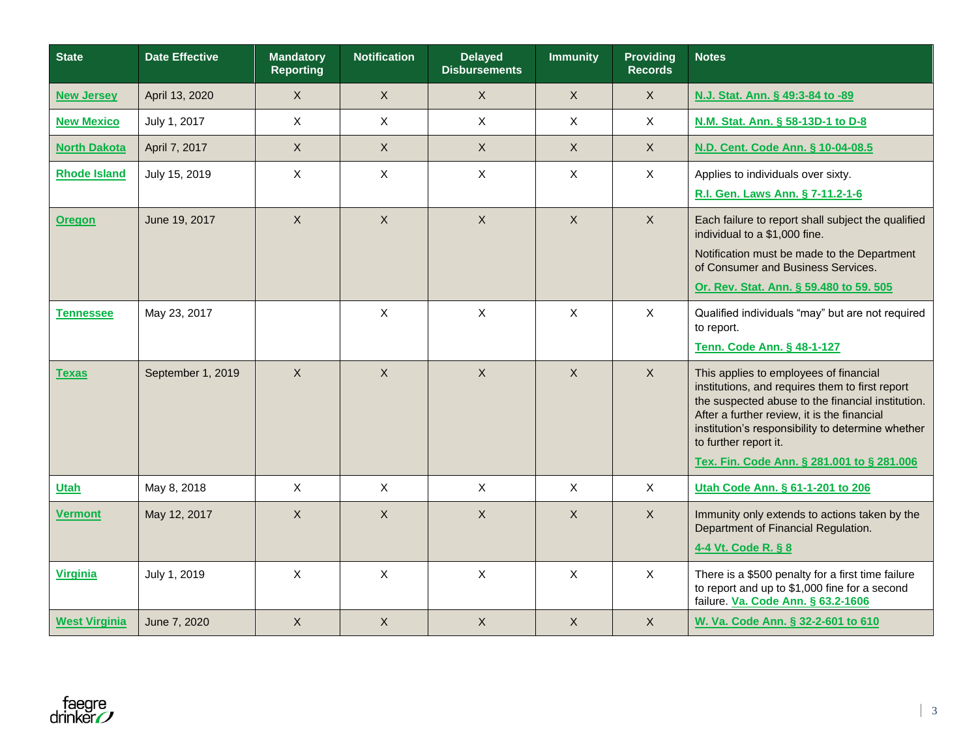| <b>State</b>         | <b>Date Effective</b> | <b>Mandatory</b><br><b>Reporting</b> | <b>Notification</b> | <b>Delayed</b><br><b>Disbursements</b> | <b>Immunity</b>           | <b>Providing</b><br><b>Records</b> | <b>Notes</b>                                                                                                                                                                                                                                                                                                              |  |
|----------------------|-----------------------|--------------------------------------|---------------------|----------------------------------------|---------------------------|------------------------------------|---------------------------------------------------------------------------------------------------------------------------------------------------------------------------------------------------------------------------------------------------------------------------------------------------------------------------|--|
| <b>New Jersey</b>    | April 13, 2020        | $\mathsf X$                          | $\mathsf X$         | $\mathsf{X}$                           | $\mathsf X$               | $\mathsf{X}$                       | N.J. Stat. Ann. § 49:3-84 to -89                                                                                                                                                                                                                                                                                          |  |
| <b>New Mexico</b>    | July 1, 2017          | $\mathsf{X}$                         | $\mathsf{X}$        | X                                      | X                         | $\mathsf{X}$                       | N.M. Stat. Ann. § 58-13D-1 to D-8                                                                                                                                                                                                                                                                                         |  |
| <b>North Dakota</b>  | April 7, 2017         | $\mathsf{X}$                         | $\mathsf{X}$        | $\mathsf{X}$                           | $\mathsf{X}$              | $\mathsf{X}$                       | N.D. Cent. Code Ann. § 10-04-08.5                                                                                                                                                                                                                                                                                         |  |
| <b>Rhode Island</b>  | July 15, 2019         | $\mathsf{X}$                         | X                   | X                                      | X                         | $\mathsf{X}$                       | Applies to individuals over sixty.<br>R.I. Gen. Laws Ann. § 7-11.2-1-6                                                                                                                                                                                                                                                    |  |
| <b>Oregon</b>        | June 19, 2017         | $\mathsf{X}$                         | $\mathsf{X}$        | $\sf X$                                | $\mathsf{X}$              | $\mathsf{X}$                       | Each failure to report shall subject the qualified<br>individual to a \$1,000 fine.<br>Notification must be made to the Department<br>of Consumer and Business Services.<br>Or. Rev. Stat. Ann. § 59.480 to 59. 505                                                                                                       |  |
| <b>Tennessee</b>     | May 23, 2017          |                                      | X                   | X                                      | X                         | $\sf X$                            | Qualified individuals "may" but are not required<br>to report.<br>Tenn. Code Ann. § 48-1-127                                                                                                                                                                                                                              |  |
| <b>Texas</b>         | September 1, 2019     | $\mathsf{X}$                         | $\mathsf{X}$        | $\sf X$                                | $\boldsymbol{\mathsf{X}}$ | $\mathsf{X}$                       | This applies to employees of financial<br>institutions, and requires them to first report<br>the suspected abuse to the financial institution.<br>After a further review, it is the financial<br>institution's responsibility to determine whether<br>to further report it.<br>Tex. Fin. Code Ann. § 281.001 to § 281.006 |  |
| <b>Utah</b>          | May 8, 2018           | $\mathsf{X}$                         | $\mathsf X$         | $\mathsf{X}$                           | X                         | $\mathsf{X}$                       | Utah Code Ann. § 61-1-201 to 206                                                                                                                                                                                                                                                                                          |  |
| <b>Vermont</b>       | May 12, 2017          | $\mathsf{X}$                         | $\sf X$             | $\sf X$                                | X                         | $\mathsf{X}$                       | Immunity only extends to actions taken by the<br>Department of Financial Regulation.<br>4-4 Vt. Code R. § 8                                                                                                                                                                                                               |  |
| Virginia             | July 1, 2019          | $\mathsf{X}$                         | $\times$            | $\mathsf{X}$                           | $\sf X$                   | $\sf X$                            | There is a \$500 penalty for a first time failure<br>to report and up to \$1,000 fine for a second<br>failure. Va. Code Ann. § 63.2-1606                                                                                                                                                                                  |  |
| <b>West Virginia</b> | June 7, 2020          | $\mathsf{X}$                         | $\sf X$             | $\overline{X}$                         | $\boldsymbol{X}$          | $\mathsf{X}$                       | W. Va. Code Ann. § 32-2-601 to 610                                                                                                                                                                                                                                                                                        |  |